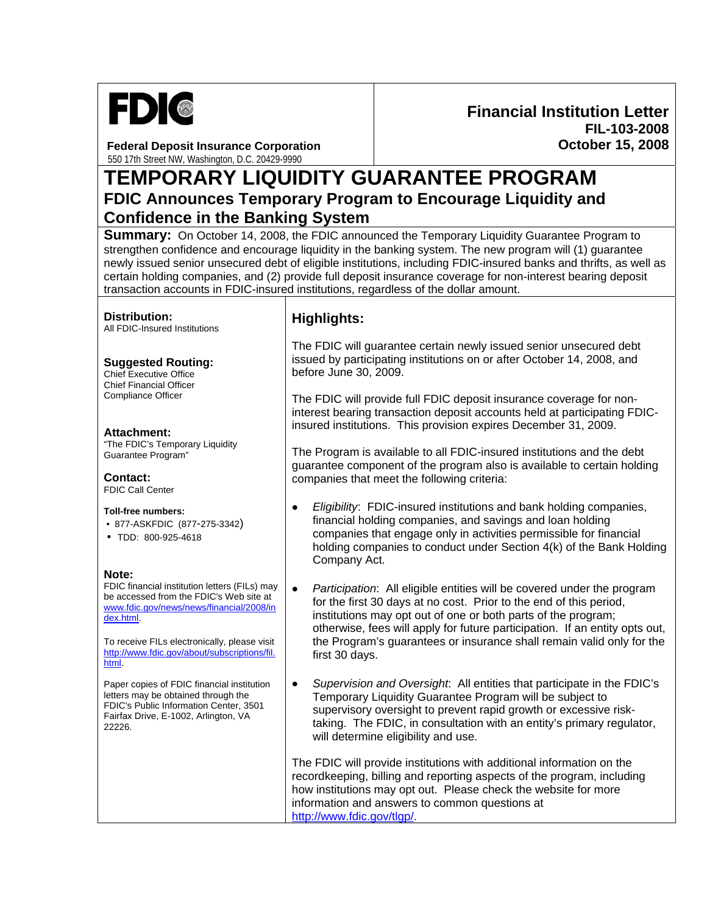

**Federal Deposit Insurance Corporation**  550 17th Street NW, Washington, D.C. 20429-9990

## **Financial Institution Letter FIL-103-2008 October 15, 2008**

**TEMPORARY LIQUIDITY GUARANTEE PROGRAM FDIC Announces Temporary Program to Encourage Liquidity and Confidence in the Banking System** 

**Summary:** On October 14, 2008, the FDIC announced the Temporary Liquidity Guarantee Program to strengthen confidence and encourage liquidity in the banking system. The new program will (1) guarantee newly issued senior unsecured debt of eligible institutions, including FDIC-insured banks and thrifts, as well as certain holding companies, and (2) provide full deposit insurance coverage for non-interest bearing deposit transaction accounts in FDIC-insured institutions, regardless of the dollar amount.

**Distribution:** 

**Distribution: Highlights:**<br>All FDIC-Insured Institutions

**Suggested Routing:** 

Chief Executive Office Chief Financial Officer Compliance Officer

**Attachment:**  "The FDIC's Temporary Liquidity Guarantee Program"

**Contact:**  FDIC Call Center

**Toll-free numbers:**

- 877-ASKFDIC (877-275-3342)
- TDD: 800-925-4618

#### **Note:**

FDIC financial institution letters (FILs) may be accessed from the FDIC's Web site at [www.fdic.gov/news/news/financial/2008/in](http://www.fdic.gov/news/news/financial/2008/index.html) [dex.html](http://www.fdic.gov/news/news/financial/2008/index.html).

To receive FILs electronically, please visit [http://www.fdic.gov/about/subscriptions/fil.](http://www.fdic.gov/about/subscriptions/index.html) [html](http://www.fdic.gov/about/subscriptions/index.html).

Paper copies of FDIC financial institution letters may be obtained through the FDIC's Public Information Center, 3501 Fairfax Drive, E-1002, Arlington, VA 22226.

The FDIC will guarantee certain newly issued senior unsecured debt issued by participating institutions on or after October 14, 2008, and before June 30, 2009.

The FDIC will provide full FDIC deposit insurance coverage for noninterest bearing transaction deposit accounts held at participating FDICinsured institutions. This provision expires December 31, 2009.

The Program is available to all FDIC-insured institutions and the debt guarantee component of the program also is available to certain holding companies that meet the following criteria:

- *Eligibility*: FDIC-insured institutions and bank holding companies, financial holding companies, and savings and loan holding companies that engage only in activities permissible for financial holding companies to conduct under Section 4(k) of the Bank Holding Company Act.
- *Participation*: All eligible entities will be covered under the program for the first 30 days at no cost. Prior to the end of this period, institutions may opt out of one or both parts of the program; otherwise, fees will apply for future participation. If an entity opts out, the Program's guarantees or insurance shall remain valid only for the first 30 days.
- *Supervision and Oversight*: All entities that participate in the FDIC's Temporary Liquidity Guarantee Program will be subject to supervisory oversight to prevent rapid growth or excessive risktaking. The FDIC, in consultation with an entity's primary regulator, will determine eligibility and use.

The FDIC will provide institutions with additional information on the recordkeeping, billing and reporting aspects of the program, including how institutions may opt out. Please check the website for more information and answers to common questions at <http://www.fdic.gov/tlgp/>.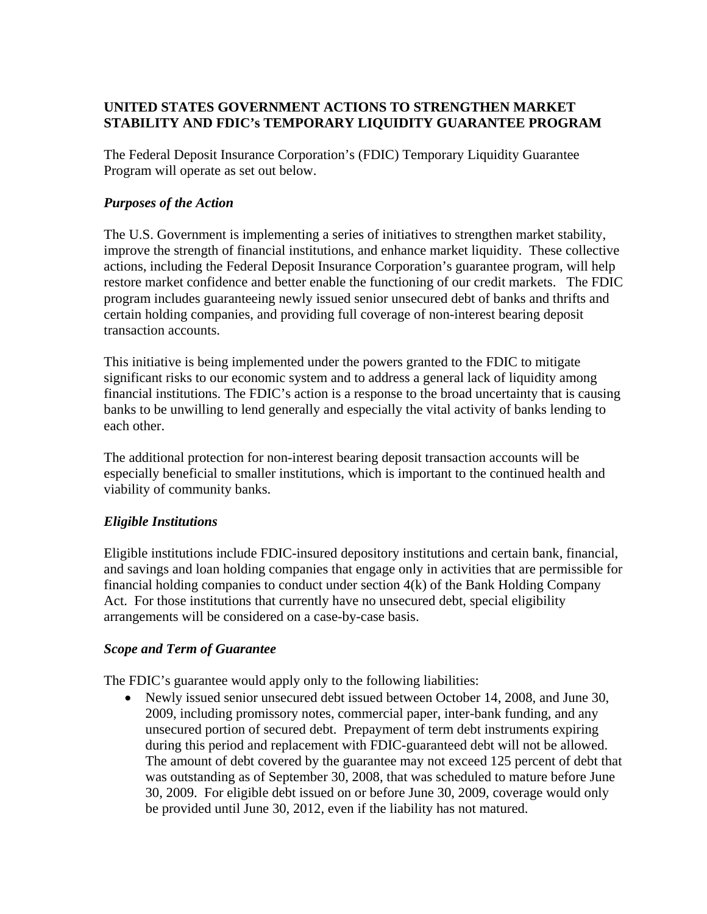# **UNITED STATES GOVERNMENT ACTIONS TO STRENGTHEN MARKET STABILITY AND FDIC's TEMPORARY LIQUIDITY GUARANTEE PROGRAM**

The Federal Deposit Insurance Corporation's (FDIC) Temporary Liquidity Guarantee Program will operate as set out below.

# *Purposes of the Action*

The U.S. Government is implementing a series of initiatives to strengthen market stability, improve the strength of financial institutions, and enhance market liquidity. These collective actions, including the Federal Deposit Insurance Corporation's guarantee program, will help restore market confidence and better enable the functioning of our credit markets. The FDIC program includes guaranteeing newly issued senior unsecured debt of banks and thrifts and certain holding companies, and providing full coverage of non-interest bearing deposit transaction accounts.

This initiative is being implemented under the powers granted to the FDIC to mitigate significant risks to our economic system and to address a general lack of liquidity among financial institutions. The FDIC's action is a response to the broad uncertainty that is causing banks to be unwilling to lend generally and especially the vital activity of banks lending to each other.

The additional protection for non-interest bearing deposit transaction accounts will be especially beneficial to smaller institutions, which is important to the continued health and viability of community banks.

## *Eligible Institutions*

Eligible institutions include FDIC-insured depository institutions and certain bank, financial, and savings and loan holding companies that engage only in activities that are permissible for financial holding companies to conduct under section 4(k) of the Bank Holding Company Act. For those institutions that currently have no unsecured debt, special eligibility arrangements will be considered on a case-by-case basis.

## *Scope and Term of Guarantee*

The FDIC's guarantee would apply only to the following liabilities:

• Newly issued senior unsecured debt issued between October 14, 2008, and June 30, 2009, including promissory notes, commercial paper, inter-bank funding, and any unsecured portion of secured debt. Prepayment of term debt instruments expiring during this period and replacement with FDIC-guaranteed debt will not be allowed. The amount of debt covered by the guarantee may not exceed 125 percent of debt that was outstanding as of September 30, 2008, that was scheduled to mature before June 30, 2009. For eligible debt issued on or before June 30, 2009, coverage would only be provided until June 30, 2012, even if the liability has not matured.